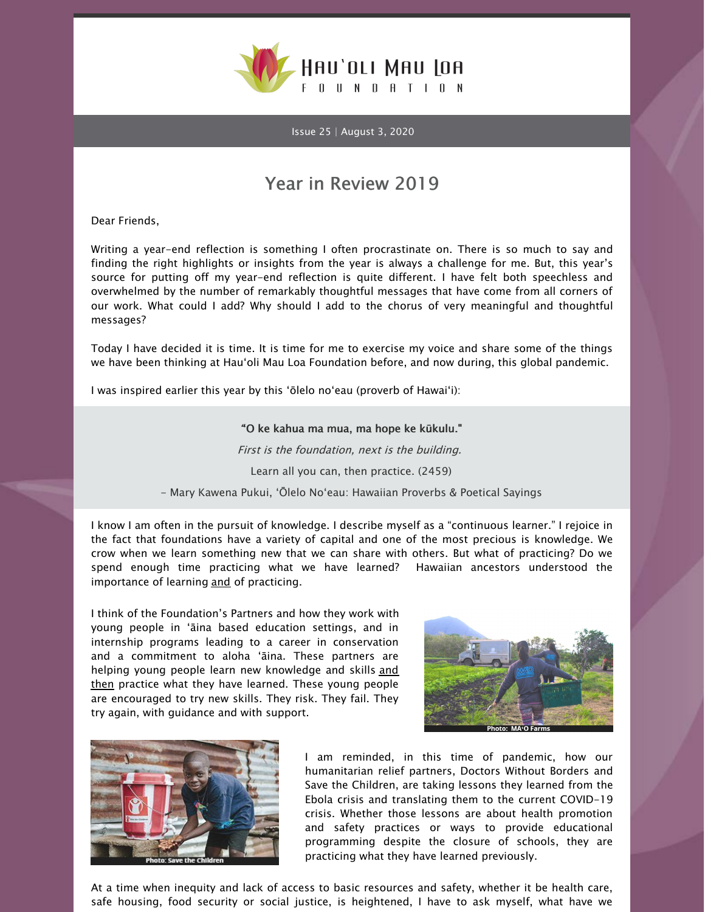

Issue 25 | August 3, 2020

## Year in Review 2019

Dear Friends,

Writing a year-end reflection is something I often procrastinate on. There is so much to say and finding the right highlights or insights from the year is always a challenge for me. But, this year's source for putting off my year-end reflection is quite different. I have felt both speechless and overwhelmed by the number of remarkably thoughtful messages that have come from all corners of our work. What could I add? Why should I add to the chorus of very meaningful and thoughtful messages?

Today I have decided it is time. It is time for me to exercise my voice and share some of the things we have been thinking at Hau'oli Mau Loa Foundation before, and now during, this global pandemic.

I was inspired earlier this year by this 'ōlelo no'eau (proverb of Hawai'i):

## "'O ke kahua ma mua, ma hope ke kūkulu."

First is the foundation, next is the building.

Learn all you can, then practice. (2459)

- Mary Kawena Pukui, 'Ōlelo No'eau: Hawaiian Proverbs & Poetical Sayings

I know I am often in the pursuit of knowledge. I describe myself as a "continuous learner." I rejoice in the fact that foundations have a variety of capital and one of the most precious is knowledge. We crow when we learn something new that we can share with others. But what of practicing? Do we spend enough time practicing what we have learned? Hawaiian ancestors understood the importance of learning and of practicing.

I think of the Foundation's Partners and how they work with young people in 'āina based education settings, and in internship programs leading to a career in conservation and a commitment to aloha 'āina. These partners are helping young people learn new knowledge and skills and then practice what they have learned. These young people are encouraged to try new skills. They risk. They fail. They try again, with guidance and with support.





I am reminded, in this time of pandemic, how our humanitarian relief partners, Doctors Without Borders and Save the Children, are taking lessons they learned from the Ebola crisis and translating them to the current COVID-19 crisis. Whether those lessons are about health promotion and safety practices or ways to provide educational programming despite the closure of schools, they are practicing what they have learned previously.

At a time when inequity and lack of access to basic resources and safety, whether it be health care, safe housing, food security or social justice, is heightened, I have to ask myself, what have we